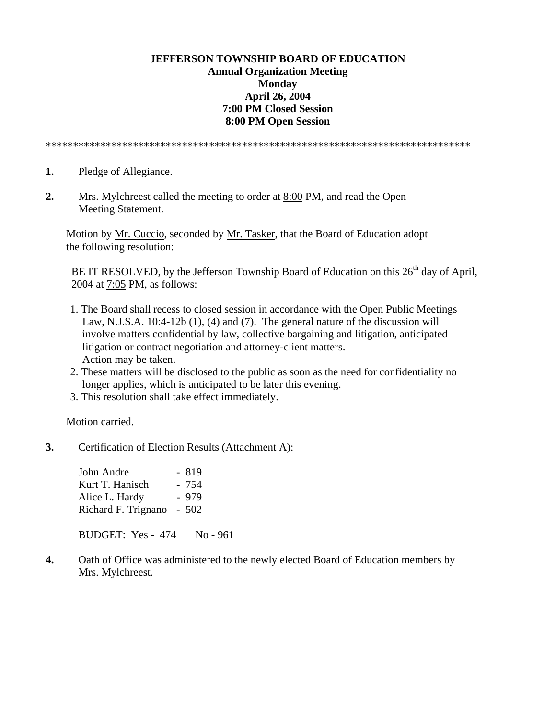## **JEFFERSON TOWNSHIP BOARD OF EDUCATION Annual Organization Meeting Monday April 26, 2004 7:00 PM Closed Session 8:00 PM Open Session**

\*\*\*\*\*\*\*\*\*\*\*\*\*\*\*\*\*\*\*\*\*\*\*\*\*\*\*\*\*\*\*\*\*\*\*\*\*\*\*\*\*\*\*\*\*\*\*\*\*\*\*\*\*\*\*\*\*\*\*\*\*\*\*\*\*\*\*\*\*\*\*\*\*\*\*\*\*\*

- **1.** Pledge of Allegiance.
- **2.** Mrs. Mylchreest called the meeting to order at 8:00 PM, and read the Open Meeting Statement.

 Motion by Mr. Cuccio, seconded by Mr. Tasker, that the Board of Education adopt the following resolution:

BE IT RESOLVED, by the Jefferson Township Board of Education on this  $26<sup>th</sup>$  day of April, 2004 at 7:05 PM, as follows:

- 1. The Board shall recess to closed session in accordance with the Open Public Meetings Law, N.J.S.A. 10:4-12b (1), (4) and (7). The general nature of the discussion will involve matters confidential by law, collective bargaining and litigation, anticipated litigation or contract negotiation and attorney-client matters. Action may be taken.
- 2. These matters will be disclosed to the public as soon as the need for confidentiality no longer applies, which is anticipated to be later this evening.
- 3. This resolution shall take effect immediately.

Motion carried.

**3.** Certification of Election Results (Attachment A):

John Andre - 819 Kurt T. Hanisch - 754 Alice L. Hardy - 979 Richard F. Trignano - 502

BUDGET: Yes - 474 No - 961

**4.** Oath of Office was administered to the newly elected Board of Education members by Mrs. Mylchreest.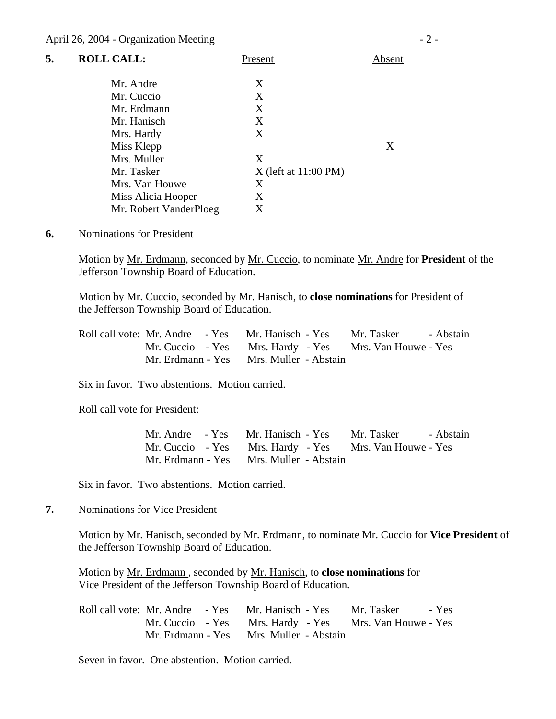| 5. | <b>ROLL CALL:</b>      | Present                | Absent |
|----|------------------------|------------------------|--------|
|    | Mr. Andre              | Χ                      |        |
|    | Mr. Cuccio             | X                      |        |
|    | Mr. Erdmann            | X                      |        |
|    | Mr. Hanisch            | Χ                      |        |
|    | Mrs. Hardy             | Χ                      |        |
|    | Miss Klepp             |                        | Χ      |
|    | Mrs. Muller            | X                      |        |
|    | Mr. Tasker             | $X$ (left at 11:00 PM) |        |
|    | Mrs. Van Houwe         | Χ                      |        |
|    | Miss Alicia Hooper     | Χ                      |        |
|    | Mr. Robert VanderPloeg | X                      |        |

**6.** Nominations for President

Motion by Mr. Erdmann, seconded by Mr. Cuccio, to nominate Mr. Andre for **President** of the Jefferson Township Board of Education.

 Motion by Mr. Cuccio, seconded by Mr. Hanisch, to **close nominations** for President of the Jefferson Township Board of Education.

| Roll call vote: Mr. Andre - Yes Mr. Hanisch - Yes Mr. Tasker - Abstain |                                                        |  |
|------------------------------------------------------------------------|--------------------------------------------------------|--|
|                                                                        | Mr. Cuccio - Yes Mrs. Hardy - Yes Mrs. Van Houwe - Yes |  |
|                                                                        | Mr. Erdmann - Yes Mrs. Muller - Abstain                |  |

Six in favor. Two abstentions. Motion carried.

Roll call vote for President:

|                                                        | Mr. Andre - Yes Mr. Hanisch - Yes Mr. Tasker - Abstain |
|--------------------------------------------------------|--------------------------------------------------------|
| Mr. Cuccio - Yes Mrs. Hardy - Yes Mrs. Van Houwe - Yes |                                                        |
| Mr. Erdmann - Yes Mrs. Muller - Abstain                |                                                        |

Six in favor. Two abstentions. Motion carried.

**7.** Nominations for Vice President

Motion by Mr. Hanisch, seconded by Mr. Erdmann, to nominate Mr. Cuccio for **Vice President** of the Jefferson Township Board of Education.

 Motion by Mr. Erdmann , seconded by Mr. Hanisch, to **close nominations** for Vice President of the Jefferson Township Board of Education.

|                                         |  | Roll call vote: Mr. Andre - Yes Mr. Hanisch - Yes Mr. Tasker - Yes |  |
|-----------------------------------------|--|--------------------------------------------------------------------|--|
|                                         |  | Mr. Cuccio - Yes Mrs. Hardy - Yes Mrs. Van Houwe - Yes             |  |
| Mr. Erdmann - Yes Mrs. Muller - Abstain |  |                                                                    |  |

Seven in favor. One abstention. Motion carried.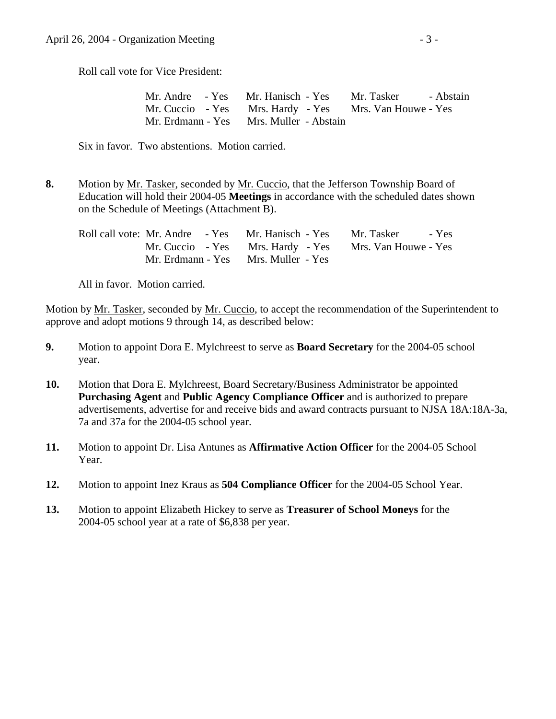Roll call vote for Vice President:

| Mr. Andre - Yes Mr. Hanisch - Yes Mr. Tasker - Abstain |  |  |
|--------------------------------------------------------|--|--|
| Mr. Cuccio - Yes Mrs. Hardy - Yes Mrs. Van Houwe - Yes |  |  |
| Mr. Erdmann - Yes Mrs. Muller - Abstain                |  |  |

Six in favor. Two abstentions. Motion carried.

**8.** Motion by <u>Mr. Tasker</u>, seconded by <u>Mr. Cuccio</u>, that the Jefferson Township Board of Education will hold their 2004-05 **Meetings** in accordance with the scheduled dates shown on the Schedule of Meetings (Attachment B).

| Roll call vote: Mr. Andre - Yes Mr. Hanisch - Yes Mr. Tasker - Yes |                                                        |  |
|--------------------------------------------------------------------|--------------------------------------------------------|--|
|                                                                    | Mr. Cuccio - Yes Mrs. Hardy - Yes Mrs. Van Houwe - Yes |  |
|                                                                    | Mr. Erdmann - Yes Mrs. Muller - Yes                    |  |

All in favor. Motion carried.

Motion by Mr. Tasker, seconded by Mr. Cuccio, to accept the recommendation of the Superintendent to approve and adopt motions 9 through 14, as described below:

- **9.** Motion to appoint Dora E. Mylchreest to serve as **Board Secretary** for the 2004-05 school year.
- **10.** Motion that Dora E. Mylchreest, Board Secretary/Business Administrator be appointed **Purchasing Agent** and **Public Agency Compliance Officer** and is authorized to prepare advertisements, advertise for and receive bids and award contracts pursuant to NJSA 18A:18A-3a, 7a and 37a for the 2004-05 school year.
- **11.** Motion to appoint Dr. Lisa Antunes as **Affirmative Action Officer** for the 2004-05 School Year.
- **12.** Motion to appoint Inez Kraus as **504 Compliance Officer** for the 2004-05 School Year.
- **13.** Motion to appoint Elizabeth Hickey to serve as **Treasurer of School Moneys** for the 2004-05 school year at a rate of \$6,838 per year.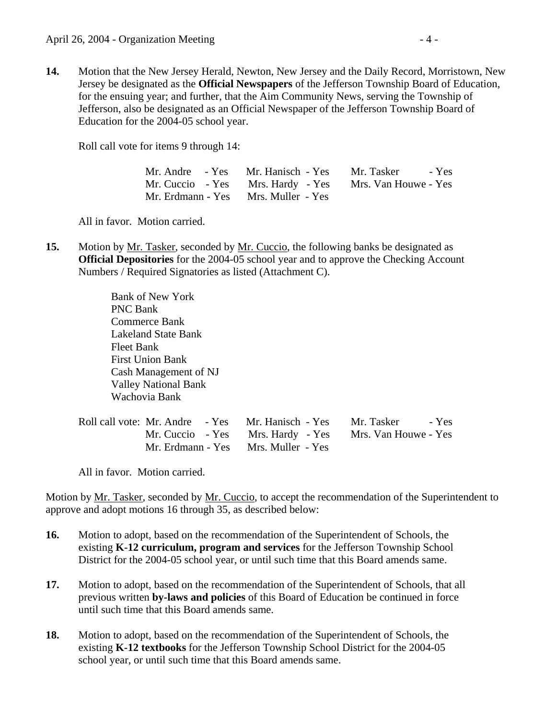**14.** Motion that the New Jersey Herald, Newton, New Jersey and the Daily Record, Morristown, New Jersey be designated as the **Official Newspapers** of the Jefferson Township Board of Education, for the ensuing year; and further, that the Aim Community News, serving the Township of Jefferson, also be designated as an Official Newspaper of the Jefferson Township Board of Education for the 2004-05 school year.

Roll call vote for items 9 through 14:

|                                     | Mr. Andre - Yes Mr. Hanisch - Yes Mr. Tasker - Yes     |
|-------------------------------------|--------------------------------------------------------|
|                                     | Mr. Cuccio - Yes Mrs. Hardy - Yes Mrs. Van Houwe - Yes |
| Mr. Erdmann - Yes Mrs. Muller - Yes |                                                        |

All in favor. Motion carried.

**15.** Motion by <u>Mr. Tasker</u>, seconded by <u>Mr. Cuccio</u>, the following banks be designated as **Official Depositories** for the 2004-05 school year and to approve the Checking Account Numbers / Required Signatories as listed (Attachment C).

> Bank of New York PNC Bank Commerce Bank Lakeland State Bank Fleet Bank First Union Bank Cash Management of NJ Valley National Bank Wachovia Bank

| Roll call vote: Mr. Andre - Yes Mr. Hanisch - Yes Mr. Tasker - Yes |                                                        |
|--------------------------------------------------------------------|--------------------------------------------------------|
|                                                                    | Mr. Cuccio - Yes Mrs. Hardy - Yes Mrs. Van Houwe - Yes |
| Mr. Erdmann - Yes Mrs. Muller - Yes                                |                                                        |

All in favor. Motion carried.

Motion by Mr. Tasker, seconded by Mr. Cuccio, to accept the recommendation of the Superintendent to approve and adopt motions 16 through 35, as described below:

- **16.** Motion to adopt, based on the recommendation of the Superintendent of Schools, the existing **K-12 curriculum, program and services** for the Jefferson Township School District for the 2004-05 school year, or until such time that this Board amends same.
- **17.** Motion to adopt, based on the recommendation of the Superintendent of Schools, that all previous written **by-laws and policies** of this Board of Education be continued in force until such time that this Board amends same.
- **18.** Motion to adopt, based on the recommendation of the Superintendent of Schools, the existing **K-12 textbooks** for the Jefferson Township School District for the 2004-05 school year, or until such time that this Board amends same.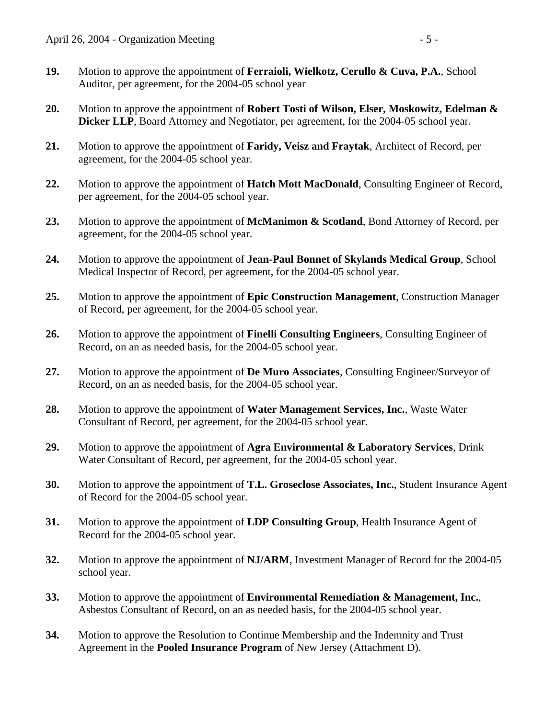- **19.** Motion to approve the appointment of **Ferraioli, Wielkotz, Cerullo & Cuva, P.A.**, School Auditor, per agreement, for the 2004-05 school year
- **20.** Motion to approve the appointment of **Robert Tosti of Wilson, Elser, Moskowitz, Edelman & Dicker LLP**, Board Attorney and Negotiator, per agreement, for the 2004-05 school year.
- **21.** Motion to approve the appointment of **Faridy, Veisz and Fraytak**, Architect of Record, per agreement, for the 2004-05 school year.
- **22.** Motion to approve the appointment of **Hatch Mott MacDonald**, Consulting Engineer of Record, per agreement, for the 2004-05 school year.
- **23.** Motion to approve the appointment of **McManimon & Scotland**, Bond Attorney of Record, per agreement, for the 2004-05 school year.
- **24.** Motion to approve the appointment of **Jean-Paul Bonnet of Skylands Medical Group**, School Medical Inspector of Record, per agreement, for the 2004-05 school year.
- **25.** Motion to approve the appointment of **Epic Construction Management**, Construction Manager of Record, per agreement, for the 2004-05 school year.
- **26.** Motion to approve the appointment of **Finelli Consulting Engineers**, Consulting Engineer of Record, on an as needed basis, for the 2004-05 school year.
- **27.** Motion to approve the appointment of **De Muro Associates**, Consulting Engineer/Surveyor of Record, on an as needed basis, for the 2004-05 school year.
- **28.** Motion to approve the appointment of **Water Management Services, Inc.**, Waste Water Consultant of Record, per agreement, for the 2004-05 school year.
- **29.** Motion to approve the appointment of **Agra Environmental & Laboratory Services**, Drink Water Consultant of Record, per agreement, for the 2004-05 school year.
- **30.** Motion to approve the appointment of **T.L. Groseclose Associates, Inc.**, Student Insurance Agent of Record for the 2004-05 school year.
- **31.** Motion to approve the appointment of **LDP Consulting Group**, Health Insurance Agent of Record for the 2004-05 school year.
- **32.** Motion to approve the appointment of **NJ/ARM**, Investment Manager of Record for the 2004-05 school year.
- **33.** Motion to approve the appointment of **Environmental Remediation & Management, Inc.**, Asbestos Consultant of Record, on an as needed basis, for the 2004-05 school year.
- **34.** Motion to approve the Resolution to Continue Membership and the Indemnity and Trust Agreement in the **Pooled Insurance Program** of New Jersey (Attachment D).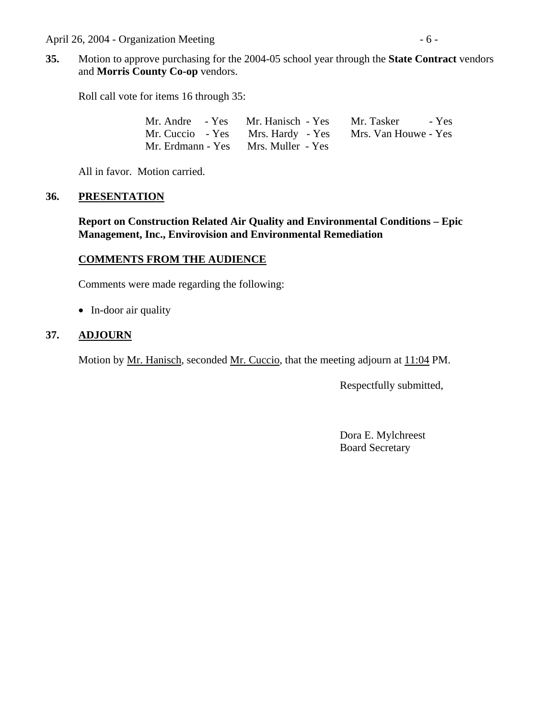April 26, 2004 - Organization Meeting - 6 -

**35.** Motion to approve purchasing for the 2004-05 school year through the **State Contract** vendors and **Morris County Co-op** vendors.

Roll call vote for items 16 through 35:

|  | Mr. Andre - Yes Mr. Hanisch - Yes Mr. Tasker - Yes     |  |
|--|--------------------------------------------------------|--|
|  | Mr. Cuccio - Yes Mrs. Hardy - Yes Mrs. Van Houwe - Yes |  |
|  | Mr. Erdmann - Yes Mrs. Muller - Yes                    |  |

All in favor. Motion carried.

#### **36. PRESENTATION**

 **Report on Construction Related Air Quality and Environmental Conditions – Epic Management, Inc., Envirovision and Environmental Remediation** 

### **COMMENTS FROM THE AUDIENCE**

Comments were made regarding the following:

• In-door air quality

## **37. ADJOURN**

Motion by Mr. Hanisch, seconded Mr. Cuccio, that the meeting adjourn at 11:04 PM.

Respectfully submitted,

 Dora E. Mylchreest Board Secretary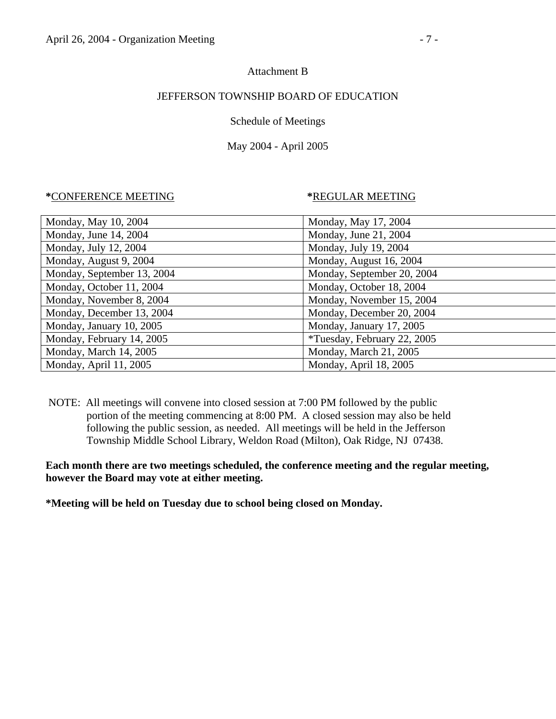#### Attachment B

### JEFFERSON TOWNSHIP BOARD OF EDUCATION

### Schedule of Meetings

## May 2004 - April 2005

#### **\***CONFERENCE MEETING **\***REGULAR MEETING

| Monday, May 17, 2004        |
|-----------------------------|
| Monday, June 21, 2004       |
| Monday, July 19, 2004       |
| Monday, August 16, 2004     |
| Monday, September 20, 2004  |
| Monday, October 18, 2004    |
| Monday, November 15, 2004   |
| Monday, December 20, 2004   |
| Monday, January 17, 2005    |
| *Tuesday, February 22, 2005 |
| Monday, March 21, 2005      |
| Monday, April 18, 2005      |
|                             |

 NOTE: All meetings will convene into closed session at 7:00 PM followed by the public portion of the meeting commencing at 8:00 PM. A closed session may also be held following the public session, as needed. All meetings will be held in the Jefferson Township Middle School Library, Weldon Road (Milton), Oak Ridge, NJ 07438.

**Each month there are two meetings scheduled, the conference meeting and the regular meeting, however the Board may vote at either meeting.** 

**\*Meeting will be held on Tuesday due to school being closed on Monday.**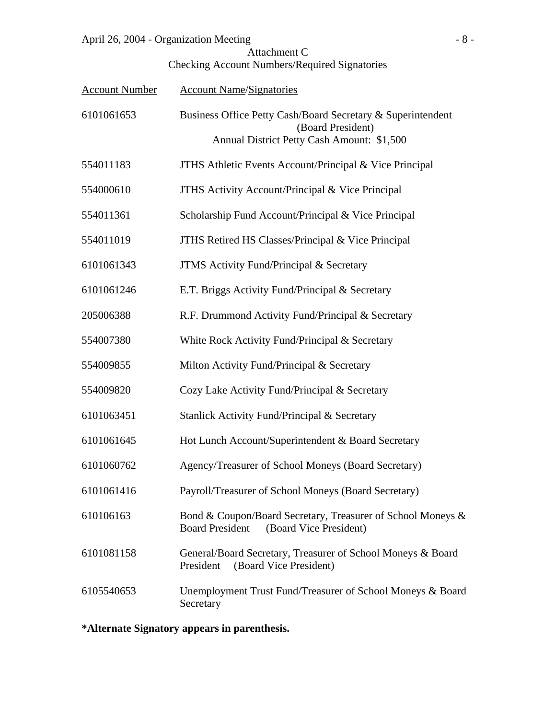| April 26, 2004 - Organization Meeting | $- \lambda -$ |  |
|---------------------------------------|---------------|--|
|                                       |               |  |

| Attachment C                                  |
|-----------------------------------------------|
| Checking Account Numbers/Required Signatories |

| <b>Account Number</b> | <b>Account Name/Signatories</b>                                                                                                |
|-----------------------|--------------------------------------------------------------------------------------------------------------------------------|
| 6101061653            | Business Office Petty Cash/Board Secretary & Superintendent<br>(Board President)<br>Annual District Petty Cash Amount: \$1,500 |
| 554011183             | JTHS Athletic Events Account/Principal & Vice Principal                                                                        |
| 554000610             | JTHS Activity Account/Principal & Vice Principal                                                                               |
| 554011361             | Scholarship Fund Account/Principal & Vice Principal                                                                            |
| 554011019             | JTHS Retired HS Classes/Principal & Vice Principal                                                                             |
| 6101061343            | <b>JTMS</b> Activity Fund/Principal & Secretary                                                                                |
| 6101061246            | E.T. Briggs Activity Fund/Principal & Secretary                                                                                |
| 205006388             | R.F. Drummond Activity Fund/Principal & Secretary                                                                              |
| 554007380             | White Rock Activity Fund/Principal & Secretary                                                                                 |
| 554009855             | Milton Activity Fund/Principal & Secretary                                                                                     |
| 554009820             | Cozy Lake Activity Fund/Principal & Secretary                                                                                  |
| 6101063451            | Stanlick Activity Fund/Principal & Secretary                                                                                   |
| 6101061645            | Hot Lunch Account/Superintendent & Board Secretary                                                                             |
| 6101060762            | Agency/Treasurer of School Moneys (Board Secretary)                                                                            |
| 6101061416            | Payroll/Treasurer of School Moneys (Board Secretary)                                                                           |
| 610106163             | Bond & Coupon/Board Secretary, Treasurer of School Moneys &<br><b>Board President</b><br>(Board Vice President)                |
| 6101081158            | General/Board Secretary, Treasurer of School Moneys & Board<br>(Board Vice President)<br>President                             |
| 6105540653            | Unemployment Trust Fund/Treasurer of School Moneys & Board<br>Secretary                                                        |

**\*Alternate Signatory appears in parenthesis.**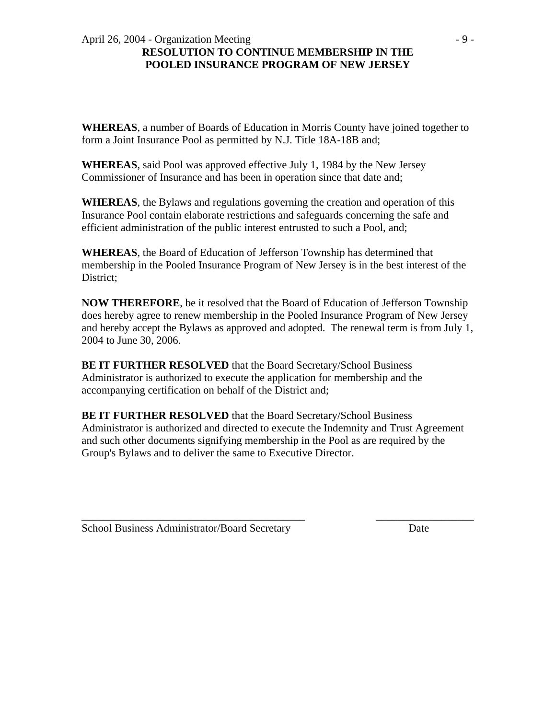#### April 26, 2004 - Organization Meeting  $-9$  -**RESOLUTION TO CONTINUE MEMBERSHIP IN THE POOLED INSURANCE PROGRAM OF NEW JERSEY**

**WHEREAS**, a number of Boards of Education in Morris County have joined together to form a Joint Insurance Pool as permitted by N.J. Title 18A-18B and;

**WHEREAS**, said Pool was approved effective July 1, 1984 by the New Jersey Commissioner of Insurance and has been in operation since that date and;

**WHEREAS**, the Bylaws and regulations governing the creation and operation of this Insurance Pool contain elaborate restrictions and safeguards concerning the safe and efficient administration of the public interest entrusted to such a Pool, and;

**WHEREAS**, the Board of Education of Jefferson Township has determined that membership in the Pooled Insurance Program of New Jersey is in the best interest of the District;

**NOW THEREFORE**, be it resolved that the Board of Education of Jefferson Township does hereby agree to renew membership in the Pooled Insurance Program of New Jersey and hereby accept the Bylaws as approved and adopted. The renewal term is from July 1, 2004 to June 30, 2006.

**BE IT FURTHER RESOLVED** that the Board Secretary/School Business Administrator is authorized to execute the application for membership and the accompanying certification on behalf of the District and;

**BE IT FURTHER RESOLVED** that the Board Secretary/School Business Administrator is authorized and directed to execute the Indemnity and Trust Agreement and such other documents signifying membership in the Pool as are required by the Group's Bylaws and to deliver the same to Executive Director.

\_\_\_\_\_\_\_\_\_\_\_\_\_\_\_\_\_\_\_\_\_\_\_\_\_\_\_\_\_\_\_\_\_\_\_\_\_\_\_\_\_ \_\_\_\_\_\_\_\_\_\_\_\_\_\_\_\_\_\_

School Business Administrator/Board Secretary Date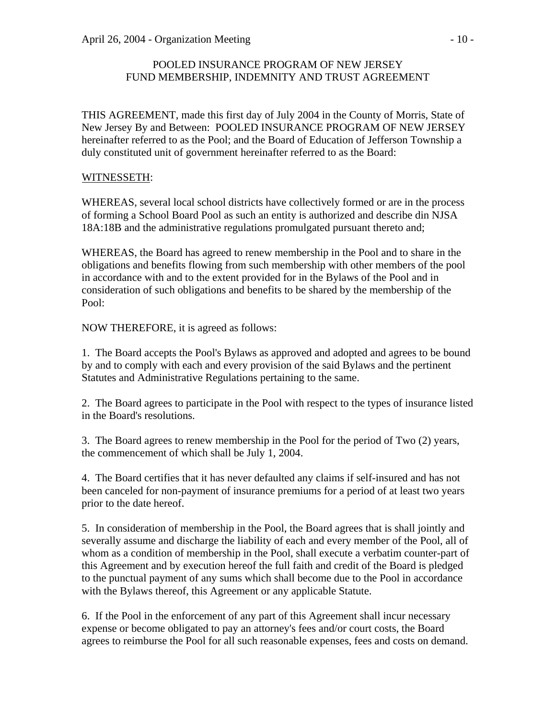## POOLED INSURANCE PROGRAM OF NEW JERSEY FUND MEMBERSHIP, INDEMNITY AND TRUST AGREEMENT

THIS AGREEMENT, made this first day of July 2004 in the County of Morris, State of New Jersey By and Between: POOLED INSURANCE PROGRAM OF NEW JERSEY hereinafter referred to as the Pool; and the Board of Education of Jefferson Township a duly constituted unit of government hereinafter referred to as the Board:

# WITNESSETH:

WHEREAS, several local school districts have collectively formed or are in the process of forming a School Board Pool as such an entity is authorized and describe din NJSA 18A:18B and the administrative regulations promulgated pursuant thereto and;

WHEREAS, the Board has agreed to renew membership in the Pool and to share in the obligations and benefits flowing from such membership with other members of the pool in accordance with and to the extent provided for in the Bylaws of the Pool and in consideration of such obligations and benefits to be shared by the membership of the Pool:

NOW THEREFORE, it is agreed as follows:

1. The Board accepts the Pool's Bylaws as approved and adopted and agrees to be bound by and to comply with each and every provision of the said Bylaws and the pertinent Statutes and Administrative Regulations pertaining to the same.

2. The Board agrees to participate in the Pool with respect to the types of insurance listed in the Board's resolutions.

3. The Board agrees to renew membership in the Pool for the period of Two (2) years, the commencement of which shall be July 1, 2004.

4. The Board certifies that it has never defaulted any claims if self-insured and has not been canceled for non-payment of insurance premiums for a period of at least two years prior to the date hereof.

5. In consideration of membership in the Pool, the Board agrees that is shall jointly and severally assume and discharge the liability of each and every member of the Pool, all of whom as a condition of membership in the Pool, shall execute a verbatim counter-part of this Agreement and by execution hereof the full faith and credit of the Board is pledged to the punctual payment of any sums which shall become due to the Pool in accordance with the Bylaws thereof, this Agreement or any applicable Statute.

6. If the Pool in the enforcement of any part of this Agreement shall incur necessary expense or become obligated to pay an attorney's fees and/or court costs, the Board agrees to reimburse the Pool for all such reasonable expenses, fees and costs on demand.